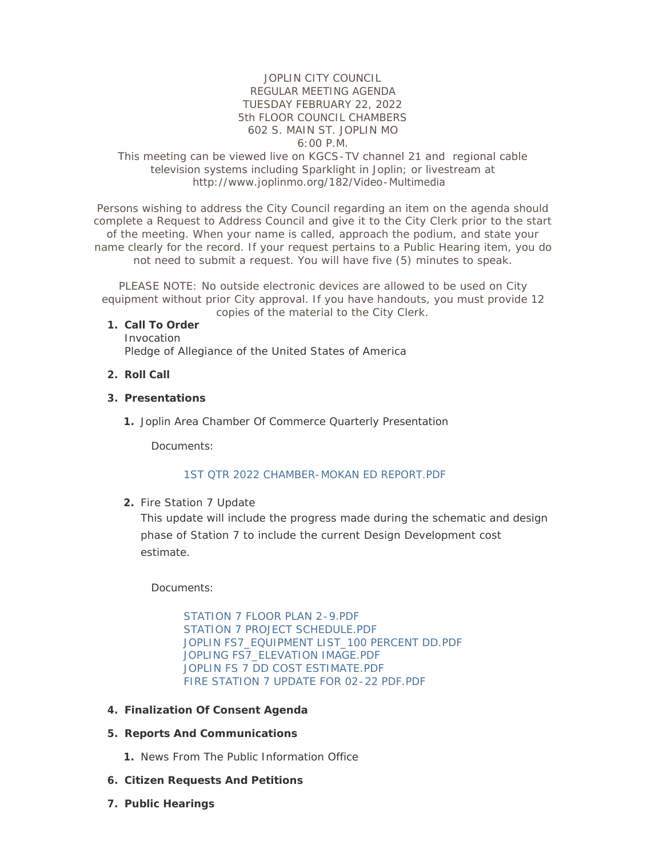## JOPLIN CITY COUNCIL REGULAR MEETING AGENDA TUESDAY FEBRUARY 22, 2022 5th FLOOR COUNCIL CHAMBERS 602 S. MAIN ST. JOPLIN MO 6:00 P.M.

### This meeting can be viewed live on KGCS-TV channel 21 and regional cable television systems including Sparklight in Joplin; or livestream at http://www.joplinmo.org/182/Video-Multimedia

Persons wishing to address the City Council regarding an item on the agenda should complete a Request to Address Council and give it to the City Clerk prior to the start of the meeting. When your name is called, approach the podium, and state your name clearly for the record. If your request pertains to a Public Hearing item, you do not need to submit a request. You will have five (5) minutes to speak.

PLEASE NOTE: No outside electronic devices are allowed to be used on City equipment without prior City approval. If you have handouts, you must provide 12 copies of the material to the City Clerk.

#### **Call To Order 1.**

Invocation Pledge of Allegiance of the United States of America

**Roll Call 2.**

#### **Presentations 3.**

1. Joplin Area Chamber Of Commerce Quarterly Presentation

Documents:

### [1ST QTR 2022 CHAMBER-MOKAN ED REPORT.PDF](http://www.joplinmo.org/AgendaCenter/ViewFile/Item/8359?fileID=49163)

2. Fire Station 7 Update

This update will include the progress made during the schematic and design phase of Station 7 to include the current Design Development cost estimate.

Documents:

[STATION 7 FLOOR PLAN 2-9.PDF](http://www.joplinmo.org/AgendaCenter/ViewFile/Item/8358?fileID=49141) [STATION 7 PROJECT SCHEDULE.PDF](http://www.joplinmo.org/AgendaCenter/ViewFile/Item/8358?fileID=49142) [JOPLIN FS7\\_EQUIPMENT LIST\\_100 PERCENT DD.PDF](http://www.joplinmo.org/AgendaCenter/ViewFile/Item/8358?fileID=49143) [JOPLING FS7\\_ELEVATION IMAGE.PDF](http://www.joplinmo.org/AgendaCenter/ViewFile/Item/8358?fileID=49144) [JOPLIN FS 7 DD COST ESTIMATE.PDF](http://www.joplinmo.org/AgendaCenter/ViewFile/Item/8358?fileID=49145) [FIRE STATION 7 UPDATE FOR 02-22 PDF.PDF](http://www.joplinmo.org/AgendaCenter/ViewFile/Item/8358?fileID=49146)

- **Finalization Of Consent Agenda 4.**
- **Reports And Communications 5.**
	- 1. News From The Public Information Office
- **Citizen Requests And Petitions 6.**
- **Public Hearings 7.**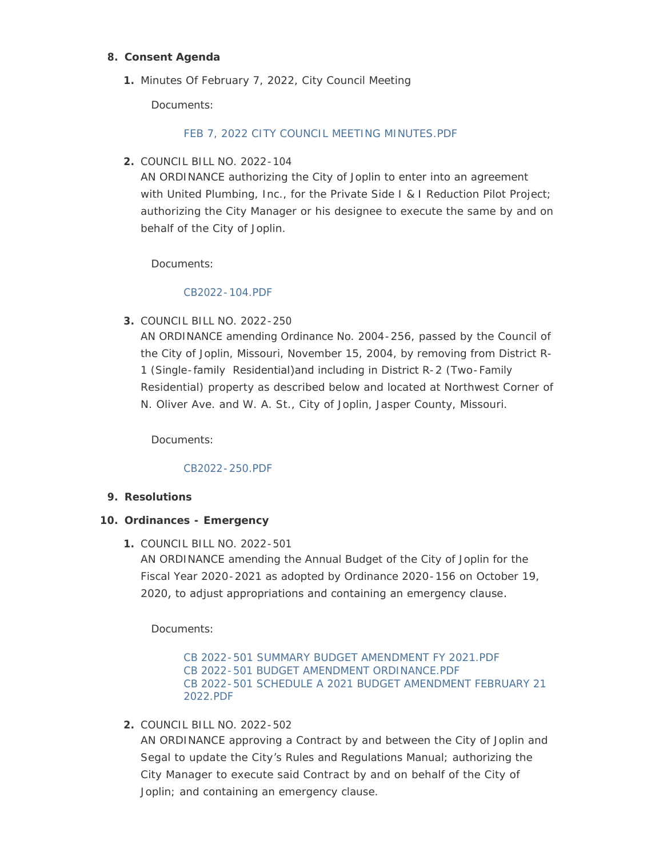## **Consent Agenda 8.**

Minutes Of February 7, 2022, City Council Meeting **1.**

Documents:

# [FEB 7, 2022 CITY COUNCIL MEETING MINUTES.PDF](http://www.joplinmo.org/AgendaCenter/ViewFile/Item/8353?fileID=49093)

COUNCIL BILL NO. 2022-104 **2.**

AN ORDINANCE authorizing the City of Joplin to enter into an agreement with United Plumbing, Inc., for the Private Side I & I Reduction Pilot Project; authorizing the City Manager or his designee to execute the same by and on behalf of the City of Joplin.

Documents:

## [CB2022-104.PDF](http://www.joplinmo.org/AgendaCenter/ViewFile/Item/8346?fileID=48919)

COUNCIL BILL NO. 2022-250 **3.**

AN ORDINANCE amending Ordinance No. 2004-256, passed by the Council of the City of Joplin, Missouri, November 15, 2004, by removing from District R-1 (Single-family Residential)and including in District R-2 (Two-Family Residential) property as described below and located at Northwest Corner of N. Oliver Ave. and W. A. St., City of Joplin, Jasper County, Missouri.

Documents:

## [CB2022-250.PDF](http://www.joplinmo.org/AgendaCenter/ViewFile/Item/8347?fileID=48920)

## **Resolutions 9.**

## **Ordinances - Emergency 10.**

COUNCIL BILL NO. 2022-501 **1.**

AN ORDINANCE amending the Annual Budget of the City of Joplin for the Fiscal Year 2020-2021 as adopted by Ordinance 2020-156 on October 19, 2020, to adjust appropriations and containing an emergency clause.

Documents:

[CB 2022-501 SUMMARY BUDGET AMENDMENT FY 2021.PDF](http://www.joplinmo.org/AgendaCenter/ViewFile/Item/8351?fileID=49122) [CB 2022-501 BUDGET AMENDMENT ORDINANCE.PDF](http://www.joplinmo.org/AgendaCenter/ViewFile/Item/8351?fileID=49120) [CB 2022-501 SCHEDULE A 2021 BUDGET AMENDMENT FEBRUARY 21](http://www.joplinmo.org/AgendaCenter/ViewFile/Item/8351?fileID=49121)  2022.PDF

COUNCIL BILL NO. 2022-502 **2.**

AN ORDINANCE approving a Contract by and between the City of Joplin and Segal to update the City's Rules and Regulations Manual; authorizing the City Manager to execute said Contract by and on behalf of the City of Joplin; and containing an emergency clause.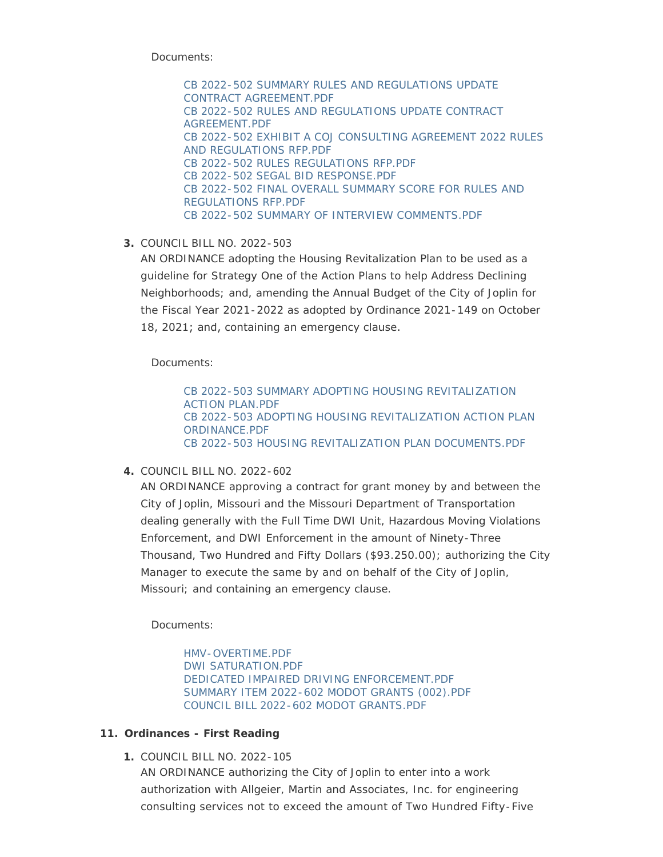Documents:

[CB 2022-502 SUMMARY RULES AND REGULATIONS UPDATE](http://www.joplinmo.org/AgendaCenter/ViewFile/Item/8352?fileID=49092)  CONTRACT AGREEMENT.PDF [CB 2022-502 RULES AND REGULATIONS UPDATE CONTRACT](http://www.joplinmo.org/AgendaCenter/ViewFile/Item/8352?fileID=49088)  AGREEMENT.PDF [CB 2022-502 EXHIBIT A COJ CONSULTING AGREEMENT 2022 RULES](http://www.joplinmo.org/AgendaCenter/ViewFile/Item/8352?fileID=49086)  AND REGULATIONS RFP.PDF [CB 2022-502 RULES REGULATIONS RFP.PDF](http://www.joplinmo.org/AgendaCenter/ViewFile/Item/8352?fileID=49089) [CB 2022-502 SEGAL BID RESPONSE.PDF](http://www.joplinmo.org/AgendaCenter/ViewFile/Item/8352?fileID=49097) [CB 2022-502 FINAL OVERALL SUMMARY SCORE FOR RULES AND](http://www.joplinmo.org/AgendaCenter/ViewFile/Item/8352?fileID=49087)  REGULATIONS RFP.PDF [CB 2022-502 SUMMARY OF INTERVIEW COMMENTS.PDF](http://www.joplinmo.org/AgendaCenter/ViewFile/Item/8352?fileID=49091)

COUNCIL BILL NO. 2022-503 **3.**

AN ORDINANCE adopting the Housing Revitalization Plan to be used as a guideline for Strategy One of the Action Plans to help Address Declining Neighborhoods; and, amending the Annual Budget of the City of Joplin for the Fiscal Year 2021-2022 as adopted by Ordinance 2021-149 on October 18, 2021; and, containing an emergency clause.

Documents:

[CB 2022-503 SUMMARY ADOPTING HOUSING REVITALIZATION](http://www.joplinmo.org/AgendaCenter/ViewFile/Item/8354?fileID=49096)  ACTION PLAN.PDF [CB 2022-503 ADOPTING HOUSING REVITALIZATION ACTION PLAN](http://www.joplinmo.org/AgendaCenter/ViewFile/Item/8354?fileID=49094)  ORDINANCE.PDF [CB 2022-503 HOUSING REVITALIZATION PLAN DOCUMENTS.PDF](http://www.joplinmo.org/AgendaCenter/ViewFile/Item/8354?fileID=49095)

COUNCIL BILL NO. 2022-602 **4.**

AN ORDINANCE approving a contract for grant money by and between the City of Joplin, Missouri and the Missouri Department of Transportation dealing generally with the Full Time DWI Unit, Hazardous Moving Violations Enforcement, and DWI Enforcement in the amount of Ninety-Three Thousand, Two Hundred and Fifty Dollars (\$93.250.00); authorizing the City Manager to execute the same by and on behalf of the City of Joplin, Missouri; and containing an emergency clause.

Documents:

[HMV-OVERTIME.PDF](http://www.joplinmo.org/AgendaCenter/ViewFile/Item/8345?fileID=48898) [DWI SATURATION.PDF](http://www.joplinmo.org/AgendaCenter/ViewFile/Item/8345?fileID=48899) [DEDICATED IMPAIRED DRIVING ENFORCEMENT.PDF](http://www.joplinmo.org/AgendaCenter/ViewFile/Item/8345?fileID=48900) [SUMMARY ITEM 2022-602 MODOT GRANTS \(002\).PDF](http://www.joplinmo.org/AgendaCenter/ViewFile/Item/8345?fileID=49098) [COUNCIL BILL 2022-602 MODOT GRANTS.PDF](http://www.joplinmo.org/AgendaCenter/ViewFile/Item/8345?fileID=49099)

## **Ordinances - First Reading 11.**

COUNCIL BILL NO. 2022-105 **1.**

AN ORDINANCE authorizing the City of Joplin to enter into a work authorization with Allgeier, Martin and Associates, Inc. for engineering consulting services not to exceed the amount of Two Hundred Fifty-Five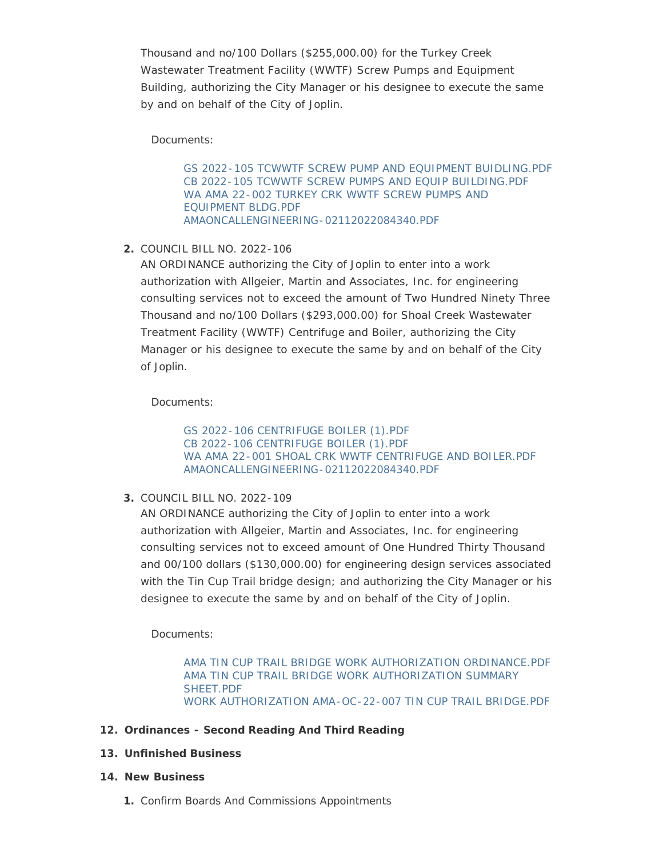Thousand and no/100 Dollars (\$255,000.00) for the Turkey Creek Wastewater Treatment Facility (WWTF) Screw Pumps and Equipment Building, authorizing the City Manager or his designee to execute the same by and on behalf of the City of Joplin.

Documents:

[GS 2022-105 TCWWTF SCREW PUMP AND EQUIPMENT BUIDLING.PDF](http://www.joplinmo.org/AgendaCenter/ViewFile/Item/8349?fileID=49062) [CB 2022-105 TCWWTF SCREW PUMPS AND EQUIP BUILDING.PDF](http://www.joplinmo.org/AgendaCenter/ViewFile/Item/8349?fileID=49063) [WA AMA 22-002 TURKEY CRK WWTF SCREW PUMPS AND](http://www.joplinmo.org/AgendaCenter/ViewFile/Item/8349?fileID=49064)  EQUIPMENT BLDG.PDF [AMAONCALLENGINEERING-02112022084340.PDF](http://www.joplinmo.org/AgendaCenter/ViewFile/Item/8349?fileID=49065)

COUNCIL BILL NO. 2022-106 **2.**

AN ORDINANCE authorizing the City of Joplin to enter into a work authorization with Allgeier, Martin and Associates, Inc. for engineering consulting services not to exceed the amount of Two Hundred Ninety Three Thousand and no/100 Dollars (\$293,000.00) for Shoal Creek Wastewater Treatment Facility (WWTF) Centrifuge and Boiler, authorizing the City Manager or his designee to execute the same by and on behalf of the City of Joplin.

Documents:

[GS 2022-106 CENTRIFUGE BOILER \(1\).PDF](http://www.joplinmo.org/AgendaCenter/ViewFile/Item/8348?fileID=49058) [CB 2022-106 CENTRIFUGE BOILER \(1\).PDF](http://www.joplinmo.org/AgendaCenter/ViewFile/Item/8348?fileID=49059) [WA AMA 22-001 SHOAL CRK WWTF CENTRIFUGE AND BOILER.PDF](http://www.joplinmo.org/AgendaCenter/ViewFile/Item/8348?fileID=49060) [AMAONCALLENGINEERING-02112022084340.PDF](http://www.joplinmo.org/AgendaCenter/ViewFile/Item/8348?fileID=49061)

COUNCIL BILL NO. 2022-109 **3.**

AN ORDINANCE authorizing the City of Joplin to enter into a work authorization with Allgeier, Martin and Associates, Inc. for engineering consulting services not to exceed amount of One Hundred Thirty Thousand and 00/100 dollars (\$130,000.00) for engineering design services associated with the Tin Cup Trail bridge design; and authorizing the City Manager or his designee to execute the same by and on behalf of the City of Joplin.

Documents:

[AMA TIN CUP TRAIL BRIDGE WORK AUTHORIZATION ORDINANCE.PDF](http://www.joplinmo.org/AgendaCenter/ViewFile/Item/8355?fileID=49100) [AMA TIN CUP TRAIL BRIDGE WORK AUTHORIZATION SUMMARY](http://www.joplinmo.org/AgendaCenter/ViewFile/Item/8355?fileID=49101)  SHEET.PDF [WORK AUTHORIZATION AMA-OC-22-007 TIN CUP TRAIL BRIDGE.PDF](http://www.joplinmo.org/AgendaCenter/ViewFile/Item/8355?fileID=49102)

- **Ordinances Second Reading And Third Reading 12.**
- **Unfinished Business 13.**
- **New Business 14.**
	- 1. Confirm Boards And Commissions Appointments